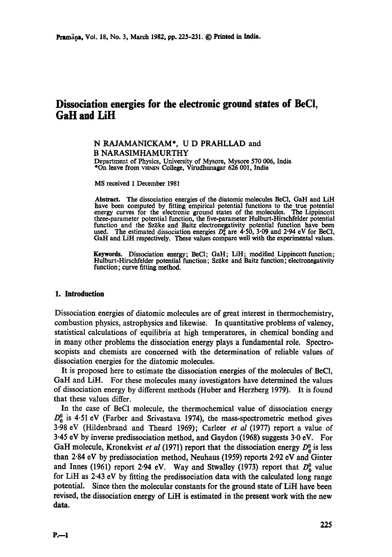# **Dissociation energies for the electronic ground states of BeCi, Gall and LiH**

## N RAJAMANICKAM\*, U D PRAHLLAD and B NARASIMHAMURTHY

Department of Physics, University of Mysore, Mysore 570 006, India \*On leave from VaNSN College, Virudhunagar 626 001, India

MS received 1 December 1981

**Abstract.** The dissociation energies of the diatomic molecules BeCI, Gall and LiH have been computed by fitting empirical potential functions to the true potential energy curves for the electronic ground states of the molecules. The Lippincott three-parameter potential function, the five-parameter Hulburt-Hirschfelder potential function and the Szöke and Baitz electronegativity potential function have been used. The estimated dissociation energies  $D_0^{\sigma}$  are 4.50, 3.09 and 2.94 eV for BeCl, GaH and LiH respectively. These values compare well with the experimental values.

Keywords. Dissociation energy; BeC1; Gall; LiH; modified Lippincott function; Hulburt-Hirschfelder potential function; Szöke and Baitz function; electronegativity function; curve fitting method.

#### 1. Introduction

Dissociation energies of diatomic molecules are of great interest in thermochemistry, combustion physics, astrophysics and likewise. In quantitative problems of valency, statistical calculations of equilibria at high temperatures, in chemical bonding and in many other problems the dissociation energy plays a fundamental role. Spectroscopists and chemists are concerned with the determination of reliable values of dissociation energies for the diatomic molecules.

It is proposed here to estimate the dissociation energies of the molecules of BeCI, GaH and LiH. For these molecules many investigators have determined the values of dissociation energy by different methods (Huber and Herzberg 1979). It is found that these values differ.

In the case of BeCI molecule, the thermochemical value of dissociation energy  $D_0^0$  is 4.51 eV (Farber and Srivastava 1974), the mass-spectrometric method gives 3.98 eV (Hildenbrand and Theard 1969); Carleer *et al* (1977) report a value of 3.45 eV by inverse predissociation method, and Gaydon (1968) suggests 3-0 eV. For GaH molecule, Kronekvist et al (1971) report that the dissociation energy  $D_0^0$  is less than 2.84 eV by predissociation method, Neuhaus (1959) reports 2.92 eV and Ginter and Innes (1961) report 2.94 eV. Way and Stwalley (1973) report that  $D_0^0$  value for LiH as 2.43 eV by fitting the predissoeiation data with the calculated long range potential. Since then the molecular constants for the ground state of LiH have been revised, the dissociation energy of LiH is estimated in the present work with the new data.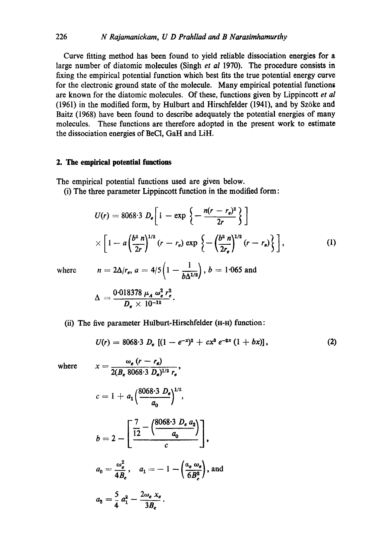Curve fitting method has been found to yield reliable dissociation energies for a large number of diatomic molecules (Singh et al 1970). The procedure consists in fixing the empirical potential function which best fits the true potential energy curve for the electronic ground state of the molecule. Many empirical potential functions are known for the diatomic molecules. Of these, functions given by Lippincott et al (1961) in the modified form, by Hulburt and Hirschfelder (1941), and by Szöke and Baitz (1968) have been found to describe adequately the potential energies of many molecules. These functions are therefore adopted in the present work to estimate the dissociation energies of BeCl, GaH and LiH.

### 2. The empirical potential functions

The empirical potential functions used are given below.

(i) The three parameter Lippincott function in the modified form:

$$
U(r) = 8068.3 D_e \left[ 1 - \exp \left\{ -\frac{n(r - r_e)^2}{2r} \right\} \right]
$$
  
 
$$
\times \left[ 1 - a \left( \frac{b^2 n}{2r} \right)^{1/2} (r - r_e) \exp \left\{ -\left( \frac{b^2 n}{2r_e} \right)^{1/2} (r - r_e) \right\} \right],
$$
 (1)

where

$$
n=2\Delta/r_e,\,a=4/5\left(1-\frac{1}{b\Delta^{1/2}}\right),\,b=1.065\,\,\mathrm{and}
$$

$$
\Delta = \frac{0.018378 \ \mu_A \ \omega_e^2 \ r_e^2}{D_e \times 10^{-12}}.
$$

(ii) The five parameter Hulburt-Hirschfelder (H-H) function:

$$
U(r) = 8068.3 D_e [(1 - e^{-x})^2 + cx^3 e^{-2x} (1 + bx)], \qquad (2)
$$

where

$$
x=\frac{\omega_e (r-r_e)}{2(B_e 8068.3 D_e)^{1/2} r_e},
$$

$$
c = 1 + a_1 \left( \frac{8068 \cdot 3 \ D_e}{a_0} \right)^{1/2},
$$
  
\n
$$
b = 2 - \left[ \frac{7}{12} - \left( \frac{8068 \cdot 3 \ D_e \ a_2}{a_0} \right) \right],
$$
  
\n
$$
a_0 = \frac{\omega_e^2}{4B_e}, \quad a_1 = -1 - \left( \frac{a_e \ \omega_e}{6B_e^2} \right),
$$
 and  
\n
$$
a_2 = \frac{5}{4} a_1^2 - \frac{2\omega_e \ x_e}{3B_e}.
$$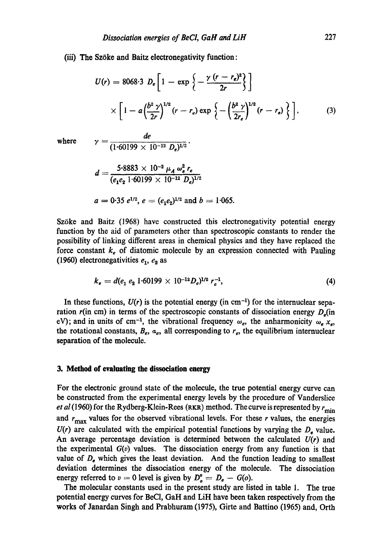#### (iii) The Sz6ke and Baitz eleetronegativity function:

$$
U(r) = 8068.3 \t D_e \left[ 1 - \exp \left\{ -\frac{\gamma (r - r_e)^2}{2r} \right\} \right]
$$
  
 
$$
\times \left[ 1 - a \left( \frac{b^2 \gamma}{2r} \right)^{1/2} (r - r_e) \exp \left\{ -\left( \frac{b^2 \gamma}{2r_e} \right)^{1/2} (r - r_e) \right\} \right],
$$
 (3)

where 
$$
\gamma = \frac{de}{(1.60199 \times 10^{-12} D_e)^{1/2}}
$$
.

$$
d = \frac{5.8883 \times 10^{-2} \mu_A \omega_e^2 r_e}{(e_1 e_2 \ 1.60199 \times 10^{-12} D_e)^{1/2}}
$$
  

$$
a = 0.35 e^{1/2}, e = (e_1 e_2)^{1/2} \text{ and } b = 1.065.
$$

Sz6ke and Baitz (1968) have constructed this electronegativity potential energy function by the aid of parameters other than spectroscopic constants to render the possibility of linking different areas in chemical physics and they have replaced the force constant  $k_e$  of diatomic molecule by an expression connected with Pauling (1960) electronegativities  $e_1$ ,  $e_2$  as

$$
k_e = d(e_1 \, e_2 \, 1.60199 \times 10^{-12} D_e)^{1/2} \, r_e^{-1}, \tag{4}
$$

In these functions,  $U(r)$  is the potential energy (in cm<sup>-1</sup>) for the internuclear separation  $r$ (in cm) in terms of the spectroscopic constants of dissociation energy  $D_e$ (in eV); and in units of cm<sup>-1</sup>, the vibrational frequency  $\omega_e$ , the anharmonicity  $\omega_e x_e$ , the rotational constants,  $B_e$ ,  $a_e$ , all corresponding to  $r_e$ , the equilibrium internuclear separation of the molecule.

### **3. Method of evaluating the dissociation energy**

For the electronic ground state of the molecule, the true potential energy curve can be constructed from the experimental energy levels by the procedure of Vandersliee *et al* (1960) for the Rydberg-Klein-Rees (RKR) method. The curve is represented by  $r_{\text{min}}$ and  $r_{\text{max}}$  values for the observed vibrational levels. For these r values, the energies  $U(r)$  are calculated with the empirical potential functions by varying the  $D<sub>e</sub>$  value. An average percentage deviation is determined between the calculated *U(r)* and the experimental *G(v)* values. The dissociation energy from any function is that value of  $D_e$  which gives the least deviation. And the function leading to smallest deviation determines the dissociation energy of the molecule. The dissociation energy referred to  $v = 0$  level is given by  $D_o^o = D_e - G(o)$ .

The molecular constants used in the present study are listed in table 1. The true potential energy curves for BeC1, Gall and LiH have been taken respectively from the works of Janardan Singh and Prabhuram (1975), Girte and Battino (1965) and, Orth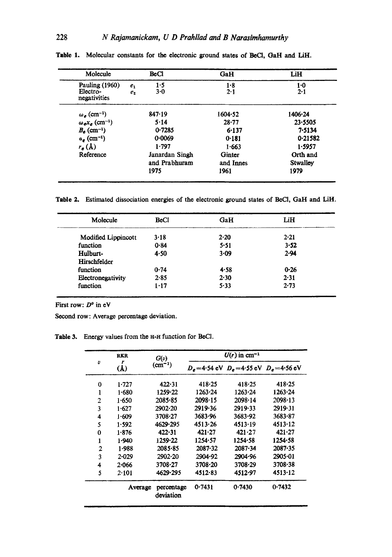| Molecule                                   | BeCl                      | <b>GaH</b> | LiH             |
|--------------------------------------------|---------------------------|------------|-----------------|
| Pauling (1960)<br>Electro-<br>negativities | 1.5<br>$e_1$<br>3.0<br>e, | 1.8<br>2.1 | $1-0$<br>2.1    |
| $\omega_e$ (cm <sup>-1</sup> )             | 847.19                    | 1604.52    | 1406.24         |
| $\omega_e x_e$ (cm <sup>-1</sup> )         | 5.14                      | $28 - 77$  | 23.5505         |
| $B_e$ (cm <sup>-1</sup> )                  | 0.7285                    | 6.137      | 7.5134          |
| $a_e$ (cm <sup>-1</sup> )                  | 0.0069                    | 0.181      | 0.21582         |
| $r_{e}(\lambda)$                           | 1.797                     | 1.663      | 1.5957          |
| Reference                                  | Janardan Singh            | Ginter     | Orth and        |
|                                            | and Prabhuram             | and Innes  | <b>Stwalley</b> |
|                                            | 1975                      | 1961       | 1979            |

Table 1. Molecular constants for the electronic ground states of BeCl, GaH and LiH.

Table 2. Estimated dissociation energies of the electronic ground states of BeCl, GaH and LiH.

| Molecule            | BeCl     | GaH  | LiH      |  |
|---------------------|----------|------|----------|--|
| Modified Lippincott | 3.18     | 2.20 | $2-21$   |  |
| function            | 0.84     | 5.51 | 3.52     |  |
| Hulburt-            | 4.50     | 3.09 | 2.94     |  |
| Hirschfelder        |          |      |          |  |
| function            | 0.74     | 4.58 | 0.26     |  |
| Electronegativity   | 2.85     | 2.30 | 2.31     |  |
| function            | $1 - 17$ | 5.33 | $2 - 73$ |  |

First row:  $D^o$  in eV

Second row: Average percentage deviation.

Table 3. Energy values from the H-H function for BeCl.

| $\boldsymbol{v}$ | <b>RKR</b><br>r<br>$(\Lambda)$ | G(v)<br>$(cm^{-1})$     | $U(r)$ in cm <sup>-1</sup> |                                                 |             |
|------------------|--------------------------------|-------------------------|----------------------------|-------------------------------------------------|-------------|
|                  |                                |                         |                            | $D_6 = 4.54$ eV $D_6 = 4.55$ eV $D_6 = 4.56$ eV |             |
| $\bf{0}$         | 1.727                          | 422.31                  | 418.25                     | 418.25                                          | 418.25      |
| 1                | 1.680                          | 1259.22                 | 1263.24                    | 1263.24                                         | 1263.24     |
| $\overline{2}$   | 1.650                          | 2085-85                 | 2098.15                    | $2098 - 14$                                     | $2098 - 13$ |
| 3                | 1.627                          | $2902 - 20$             | 2919.36                    | 2919.33                                         | 2919.31     |
| 4                | 1.609                          | 3708-27                 | 3683.96                    | 3683.92                                         | 3683.87     |
| 5                | 1.592                          | 4629-295                | 4513.26                    | 4513.19                                         | 4513.12     |
| 0                | 1.876                          | 422.31                  | $421 - 27$                 | $421 - 27$                                      | $421 - 27$  |
| 1                | 1.940                          | 1259.22                 | 1254.57                    | 1254.58                                         | 1254.58     |
| $\overline{2}$   | 1.988                          | 2085-85                 | 2087.32                    | $2087 - 34$                                     | 2087.35     |
| 3                | $2 - 029$                      | 2902.20                 | 2904.92                    | 2904.96                                         | $2905 - 01$ |
| 4                | 2.066                          | 3708.27                 | $3708 - 20$                | 3708.29                                         | 3708.38     |
| 5                | $2 - 101$                      | 4629.295                | 4512.83                    | 4512.97                                         | 4513.12     |
|                  | Average                        | percentage<br>deviation | 0.7431                     | 0.7430                                          | 0.7432      |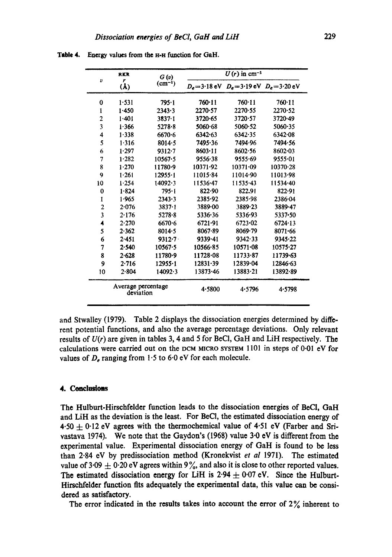|                | <b>RKR</b>                      | G(v)        | $U(r)$ in cm <sup>-1</sup> |                                                 |              |
|----------------|---------------------------------|-------------|----------------------------|-------------------------------------------------|--------------|
| $\pmb{v}$      | r<br>(A)                        | $(cm^{-1})$ |                            | $D_e = 3.18$ eV $D_e = 3.19$ eV $D_e = 3.20$ eV |              |
| 0              | $1 - 531$                       | 795-1       | 760.11                     | 760.11                                          | 760.11       |
| 1              | 1.450                           | 2343.3      | 2270.57                    | 2270.55                                         | 2270.52      |
| 2              | 1.401                           | $3837 - 1$  | $3720 - 65$                | 3720.57                                         | 3720.49      |
| 3              | 1.366                           | 5278.8      | $5060 - 68$                | 5060.52                                         | $5060 - 35$  |
| 4              | 1.338                           | 6670.6      | 6342.63                    | 6342.35                                         | 6342.08      |
| 5              | 1.316                           | $8014 - 5$  | 7495.36                    | 7494-96                                         | 7494.56      |
| 6              | 1.297                           | $9312 - 7$  | 8603-11                    | 8602.56                                         | $8602 - 03$  |
| 7              | 1.282                           | $10567 - 5$ | 9556.38                    | 9555.69                                         | 9555.01      |
| 8              | 1.270                           | 11780.9     | 10371.92                   | $10371 - 09$                                    | 10370.28     |
| 9              | 1.261                           | $12955 - 1$ | 11015.84                   | 11014-90                                        | 11013.98     |
| 10             | $1 - 254$                       | $14092 - 3$ | 11536-47                   | $11535 - 43$                                    | 11534.40     |
| 0              | 1.824                           | $795 - 1$   | 822.90                     | 822.91                                          | 822.91       |
| 1              | 1.965                           | 2343.3      | 2385.92                    | 2385.98                                         | 2386.04      |
| $\overline{2}$ | 2.076                           | $3837 - 1$  | 3889.00                    | 3889-23                                         | 3889-47      |
| 3              | $2 - 176$                       | 5278.8      | 5336.36                    | 5336-93                                         | 5337.50      |
| 4              | 2.270                           | 6670.6      | 6721.91                    | $6723 - 02$                                     | 6724.13      |
| 5              | 2.362                           | $8014 - 5$  | 8067.89                    | 8069.79                                         | 8071.66      |
| 6              | 2.451                           | $9312 - 7$  | 9339.41                    | 9342.33                                         | 9345.22      |
| 7              | 2.540                           | $10567 - 5$ | 10566.85                   | $10571 - 08$                                    | $10575 - 27$ |
| 8              | 2.628                           | 11780.9     | 11728.08                   | 11733.87                                        | 11739.63     |
| 9              | 2.716                           | $12955 - 1$ | 12831.39                   | 12839.04                                        | 12846-63     |
| 10             | 2.804                           | 14092.3     | 13873.46                   | $13883 - 21$                                    | 13892.89     |
|                | Average percentage<br>deviation |             | 4.5800                     | 4.5796                                          | 4.5798       |

Table 4. Energy values from the H-H function for GaH.

**and** Stwalley (1979). Table 2 **displays the dissociation energies determined by different potential functions, and also the average percentage deviations. Only relevant results of** *U(r)* **are given in tables** 3, 4 and 5 for BeCI, **Gall and LiH respectively. The**  calculations were carried out on the DCM MICRO SYSTEM 1101 in steps of 0.01 eV for **values of De ranging from** 1.5 to 6.0 **eV for each molecule.** 

### **4. Conclusions**

**The Hulburt-Hirschfelder function leads to the dissociation energies of BeCI, Gall and LiH as the deviation is the least. For BeC1, the estimated dissociation energy of 4.50 -4- 0.12 eV agrees with the thermochemical value of 4.51 eV (Farber and Srivastava 1974). We note that the Gaydon's (1968) value 3.0 eV is different from the experimental value. Experimental dissociation energy of Gall is found to be less than 2.84 eV by predissociation method (Kronekvist** *et al* **1971). The estimated**  value of 3.09  $\pm$  0.20 eV agrees within 9%, and also it is close to other reported values. The estimated dissociation energy for LiH is  $2.94 \pm 0.07$  eV. Since the Hulburt-**Hirschfelder function fits adequately the experimental data, this value can be considered as satisfactory.** 

**The error indicated in the results takes into account the error of 2% inherent to**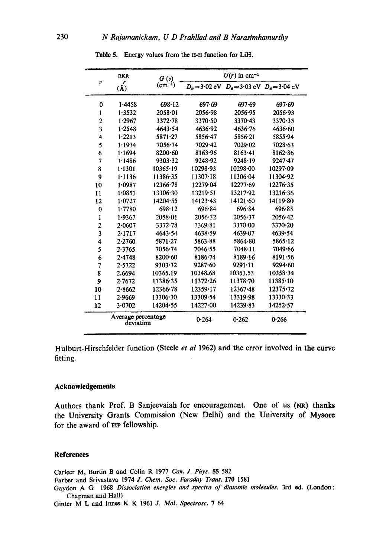|                         | <b>RKR</b>                      | G(v)<br>$(cm^{-1})$ | $U(r)$ in cm <sup>-1</sup> |                                                 |              |
|-------------------------|---------------------------------|---------------------|----------------------------|-------------------------------------------------|--------------|
| $\boldsymbol{v}$        | r<br>$(\Lambda)$                |                     |                            | $D_e = 3.02$ eV $D_e = 3.03$ eV $D_e = 3.04$ eV |              |
| 0                       | 1.4458                          | 698.12              | 697.69                     | 697.69                                          | 697.69       |
| 1                       | 1.3532                          | 2058-01             | 2056.98                    | 2056.95                                         | 2056-93      |
| $\overline{c}$          | 1.2967                          | 3372.78             | 3370.50                    | 3370.43                                         | 3370.35      |
| 3                       | 1.2548                          | 4643.54             | 4636.92                    | 4636.76                                         | 4636.60      |
| 4                       | 1.2213                          | 5871.27             | 5856.47                    | 5856.21                                         | 5855.94      |
| 5                       | 1.1934                          | 7056.74             | 7029.42                    | 7029.02                                         | 7028.63      |
| 6                       | 1.1694                          | 8200.60             | 8163.96                    | $8163 - 41$                                     | 8162.86      |
| 7                       | 1.1486                          | 9303.32             | 9248.92                    | 9248.19                                         | 9247.47      |
| 8                       | 1.1301                          | 10365.19            | 10298-93                   | 10298.00                                        | 10297.09     |
| 9                       | 1.1136                          | 11386.35            | 11307.18                   | 11306.04                                        | 11304.92     |
| 10                      | 1.0987                          | 12366.78            | 12279.04                   | 12277.69                                        | 12276.35     |
| 11                      | 1.0851                          | 13306.30            | 13219.51                   | 13217-92                                        | 13216.36     |
| 12                      | 1.0727                          | 14204.55            | 14123.43                   | 14121.60                                        | 14119.80     |
| 0                       | 1.7780                          | 698.12              | 696.84                     | 696.84                                          | 696.85       |
| 1                       | 1.9367                          | $2058 - 01$         | 2056.32                    | $2056 - 37$                                     | $2056 - 42$  |
| $\overline{c}$          | 2.0607                          | 3372.78             | 3369.81                    | 3370.00                                         | 3370.20      |
| $\overline{\mathbf{3}}$ | 2.1717                          | 4643.54             | 4638.59                    | 4639-07                                         | 4639.54      |
| 4                       | 2.2760                          | 5871.27             | 5863.88                    | 5864.80                                         | 5865.12      |
| 5                       | 2.3765                          | 7056.74             | 7046.55                    | 7048.11                                         | 7049.66      |
| 6                       | 2.4748                          | $8200 - 60$         | 8186.74                    | 8189.16                                         | 8191.56      |
| 7                       | 2.5722                          | 9303.32             | 9287.60                    | 9291.11                                         | 9294.60      |
| 8                       | 2.6694                          | 10365.19            | 10348.68                   | 10353.53                                        | 10358.34     |
| 9                       | 2.7672                          | 11386.35            | 11372.26                   | 11378.70                                        | 11385.10     |
| 10                      | 2.8662                          | 12366.78            | 12359.17                   | 12367-48                                        | $12375 - 72$ |
| 11                      | 2.9669                          | 13306.30            | 13309.54                   | 13319.98                                        | 13330.33     |
| 12                      | 3.0702                          | 14204.55            | 14227.00                   | 14239.83                                        | 14252.57     |
|                         | Average percentage<br>deviation |                     | 0.264                      | 0.262                                           | 0.266        |

Table 5. Energy values from the n-n function for LiH.

Hulburt-Hirschfelder function (Steele *et al* 1962) and the error involved in the curve fitting.

#### **Acknowledgements**

Authors thank Prof. B Sanjeevaiah for encouragement. One of us (NR) thanks the University Grants Commission (New Delhi) and the University of Mysore for the award of Fir fellowship.

#### **References**

Carlecr M, Burtin B and Colin R 1977 *Can. J. Phys.* 55 582

Farber and Srivastava 1974 *J. Chem. Soc. Faraday Trans.* I70 1581

Gaydon A G 1968 *Dissociation energies and spectra of diatomic molecules*, 3rd ed. (London: Chapman and Hall)

Ginter M L and lnnes K K 1961 *J. Mol. Spectrosc. 7 64*